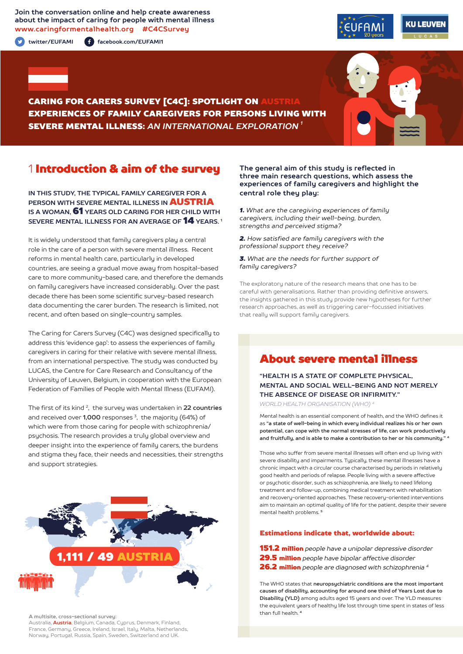**Join the conversation online and help create awareness about the impact of caring for people with mental illness www.caringformentalhealth.org #C4CSurvey**

**twitter/EUFAMI facebook.com/EUFAMI1**





CARING FOR CARERS SURVEY [C4C]: SPOTLIGHT ON AUSTRIA EXPERIENCES OF FAMILY CAREGIVERS FOR PERSONS LIVING WITH SEVERE MENTAL ILLNESS: *AN INTERNATIONAL EXPLORATION 1*

## 1 Introduction & aim of the survey

**IN THIS STUDY, THE TYPICAL FAMILY CAREGIVER FOR A PERSON WITH SEVERE MENTAL ILLNESS IN** AUSTRIA **IS A WOMAN,** 61 **YEARS OLD CARING FOR HER CHILD WITH SEVERE MENTAL ILLNESS FOR AN AVERAGE OF** 14 **YEARS. 1**

It is widely understood that family caregivers play a central role in the care of a person with severe mental illness. Recent reforms in mental health care, particularly in developed countries, are seeing a gradual move away from hospital-based care to more community-based care, and therefore the demands on family caregivers have increased considerably. Over the past decade there has been some scientific survey-based research data documenting the carer burden. The research is limited, not recent, and often based on single-country samples.

The Caring for Carers Survey (C4C) was designed specifically to address this 'evidence gap': to assess the experiences of family caregivers in caring for their relative with severe mental illness, from an international perspective. The study was conducted by LUCAS, the Centre for Care Research and Consultancy of the University of Leuven, Belgium, in cooperation with the European Federation of Families of People with Mental Illness (EUFAMI).

The first of its kind 2, the survey was undertaken in **22 countries** and received over **1,000** responses 3, the majority (64%) of which were from those caring for people with schizophrenia/ psychosis. The research provides a truly global overview and deeper insight into the experience of family carers, the burdens and stigma they face, their needs and necessities, their strengths and support strategies.



**A multisite, cross-sectional survey:** 

Australia, **Austria**, Belgium, Canada, Cyprus, Denmark, Finland, France, Germany, Greece, Ireland, Israel, Italy, Malta, Netherlands, Norway, Portugal, Russia, Spain, Sweden, Switzerland and UK.

### **The general aim of this study is reflected in three main research questions, which assess the experiences of family caregivers and highlight the central role they play:**

*1. What are the caregiving experiences of family caregivers, including their well-being, burden, strengths and perceived stigma?*

*2. How satisfied are family caregivers with the professional support they receive?*

*3. What are the needs for further support of family caregivers?*

The exploratory nature of the research means that one has to be careful with generalisations. Rather than providing definitive answers, the insights gathered in this study provide new hypotheses for further research approaches, as well as triggering carer-focussed initiatives that really will support family caregivers.

# About severe mental illness

**"HEALTH IS A STATE OF COMPLETE PHYSICAL, MENTAL AND SOCIAL WELL-BEING AND NOT MERELY THE ABSENCE OF DISEASE OR INFIRMITY."**

*WORLD HEALTH ORGANISATION (WHO) 4*

Mental health is an essential component of health, and the WHO defines it as **"a state of well-being in which every individual realizes his or her own potential, can cope with the normal stresses of life, can work productively and fruitfully, and is able to make a contribution to her or his community." <sup>4</sup>**

Those who suffer from severe mental illnesses will often end up living with severe disability and impairments. Typically, these mental illnesses have a chronic impact with a circular course characterised by periods in relatively good health and periods of relapse. People living with a severe affective or psychotic disorder, such as schizophrenia, are likely to need lifelong treatment and follow-up, combining medical treatment with rehabilitation and recovery-oriented approaches. These recovery-oriented interventions aim to maintain an optimal quality of life for the patient, despite their severe mental health problems. **<sup>5</sup>**

### Estimations indicate that, worldwide about:

151.2 million *people have a unipolar depressive disorder* 29.5 million *people have bipolar affective disorder*  26.2 million *people are diagnosed with schizophrenia 4*

The WHO states that **neuropsychiatric conditions are the most important causes of disability, accounting for around one third of Years Lost due to Disability (YLD)** among adults aged 15 years and over. The YLD measures the equivalent years of healthy life lost through time spent in states of less than full health. **<sup>4</sup>**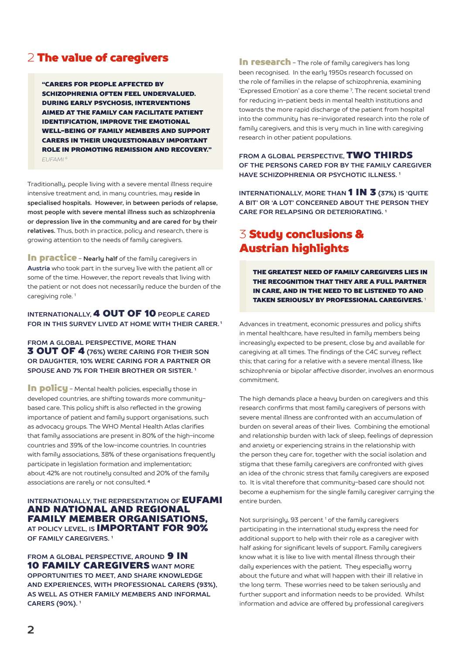# 2 The value of caregivers

"CARERS FOR PEOPLE AFFECTED BY SCHIZOPHRENIA OFTEN FEEL UNDERVALUED. DURING EARLY PSYCHOSIS, INTERVENTIONS AIMED AT THE FAMILY CAN FACILITATE PATIENT IDENTIFICATION, IMPROVE THE EMOTIONAL WELL-BEING OF FAMILY MEMBERS AND SUPPORT CARERS IN THEIR UNQUESTIONABLY IMPORTANT ROLE IN PROMOTING REMISSION AND RECOVERY." *EUFAMI 6*

Traditionally, people living with a severe mental illness require intensive treatment and, in many countries, may **reside in specialised hospitals. However, in between periods of relapse, most people with severe mental illness such as schizophrenia or depression live in the community and are cared for by their relatives.** Thus, both in practice, policy and research, there is growing attention to the needs of family caregivers.

**In practice** - **Nearly half** of the family caregivers in **Austria** who took part in the survey live with the patient all or some of the time. However, the report reveals that living with the patient or not does not necessarily reduce the burden of the caregiving role.<sup>1</sup>

### **INTERNATIONALLY,** 4 OUT OF 10 **PEOPLE CARED FOR IN THIS SURVEY LIVED AT HOME WITH THEIR CARER. 1**

### **FROM A GLOBAL PERSPECTIVE, MORE THAN** 3 OUT OF 4 **(76%) WERE CARING FOR THEIR SON OR DAUGHTER, 10% WERE CARING FOR A PARTNER OR SPOUSE AND 7% FOR THEIR BROTHER OR SISTER. 1**

In policu - Mental health policies, especially those in developed countries, are shifting towards more communitybased care. This policy shift is also reflected in the growing importance of patient and family support organisations, such as advocacy groups. The WHO Mental Health Atlas clarifies that family associations are present in 80% of the high-income countries and 39% of the low-income countries. In countries with family associations, 38% of these organisations frequently participate in legislation formation and implementation; about 42% are not routinely consulted and 20% of the family associations are rarely or not consulted. **<sup>4</sup>**

### **INTERNATIONALLY, THE REPRESENTATION OF EUFAMI** AND NATIONAL AND REGIONAL FAMILY MEMBER ORGANISATIONS, **AT POLICY LEVEL, IS** IMPORTANT FOR 90% **OF FAMILY CAREGIVERS. 1**

**FROM A GLOBAL PERSPECTIVE, AROUND 9 IN** 10 FAMILY CAREGIVERS **WANT MORE OPPORTUNITIES TO MEET, AND SHARE KNOWLEDGE AND EXPERIENCES, WITH PROFESSIONAL CARERS (93%), AS WELL AS OTHER FAMILY MEMBERS AND INFORMAL CARERS (90%). 1**

In research - The role of family caregivers has long been recognised. In the early 1950s research focussed on the role of families in the relapse of schizophrenia, examining 'Expressed Emotion' as a core theme 7 . The recent societal trend for reducing in-patient beds in mental health institutions and towards the more rapid discharge of the patient from hospital into the community has re-invigorated research into the role of family caregivers, and this is very much in line with caregiving research in other patient populations.

**FROM A GLOBAL PERSPECTIVE,** TWO THIRDS **OF THE PERSONS CARED FOR BY THE FAMILY CAREGIVER HAVE SCHIZOPHRENIA OR PSYCHOTIC ILLNESS. 1**

**INTERNATIONALLY, MORE THAN 1 IN 3 (37%) IS 'QUITE A BIT' OR 'A LOT' CONCERNED ABOUT THE PERSON THEY CARE FOR RELAPSING OR DETERIORATING. 1**

# 3 Study conclusions & Austrian highlights

THE GREATEST NEED OF FAMILY CAREGIVERS LIES IN THE RECOGNITION THAT THEY ARE A FULL PARTNER IN CARE, AND IN THE NEED TO BE LISTENED TO AND TAKEN SERIOUSLY BY PROFESSIONAL CAREGIVERS. <sup>1</sup>

Advances in treatment, economic pressures and policy shifts in mental healthcare, have resulted in family members being increasingly expected to be present, close by and available for caregiving at all times. The findings of the C4C survey reflect this; that caring for a relative with a severe mental illness, like schizophrenia or bipolar affective disorder, involves an enormous commitment.

The high demands place a heavy burden on caregivers and this research confirms that most family caregivers of persons with severe mental illness are confronted with an accumulation of burden on several areas of their lives. Combining the emotional and relationship burden with lack of sleep, feelings of depression and anxiety or experiencing strains in the relationship with the person they care for, together with the social isolation and stigma that these family caregivers are confronted with gives an idea of the chronic stress that family caregivers are exposed to. It is vital therefore that community-based care should not become a euphemism for the single family caregiver carrying the entire burden.

Not surprisingly, 93 percent<sup>1</sup> of the family caregivers participating in the international study express the need for additional support to help with their role as a caregiver with half asking for significant levels of support. Family caregivers know what it is like to live with mental illness through their daily experiences with the patient. They especially worry about the future and what will happen with their ill relative in the long term. These worries need to be taken seriously and further support and information needs to be provided. Whilst information and advice are offered by professional caregivers